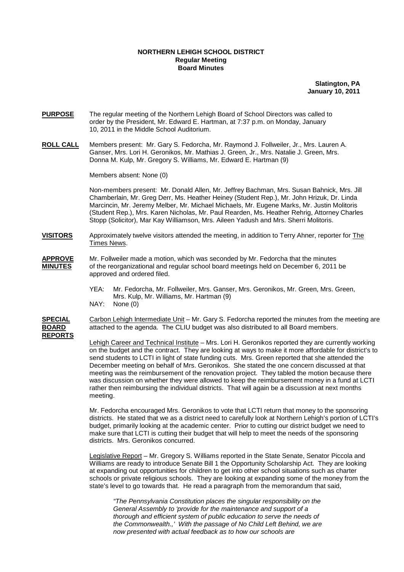## **NORTHERN LEHIGH SCHOOL DISTRICT Regular Meeting Board Minutes**

**Slatington, PA January 10, 2011**

- **PURPOSE** The regular meeting of the Northern Lehigh Board of School Directors was called to order by the President, Mr. Edward E. Hartman, at 7:37 p.m. on Monday, January 10, 2011 in the Middle School Auditorium.
- **ROLL CALL** Members present: Mr. Gary S. Fedorcha, Mr. Raymond J. Follweiler, Jr., Mrs. Lauren A. Ganser, Mrs. Lori H. Geronikos, Mr. Mathias J. Green, Jr., Mrs. Natalie J. Green, Mrs. Donna M. Kulp, Mr. Gregory S. Williams, Mr. Edward E. Hartman (9)

Members absent: None (0)

Non-members present: Mr. Donald Allen, Mr. Jeffrey Bachman, Mrs. Susan Bahnick, Mrs. Jill Chamberlain, Mr. Greg Derr, Ms. Heather Heiney (Student Rep.), Mr. John Hrizuk, Dr. Linda Marcincin, Mr. Jeremy Melber, Mr. Michael Michaels, Mr. Eugene Marks, Mr. Justin Molitoris (Student Rep.), Mrs. Karen Nicholas, Mr. Paul Rearden, Ms. Heather Rehrig, Attorney Charles Stopp (Solicitor), Mar Kay Williamson, Mrs. Aileen Yadush and Mrs. Sherri Molitoris.

- **VISITORS** Approximately twelve visitors attended the meeting, in addition to Terry Ahner, reporter for The Times News.
- **APPROVE** Mr. Follweiler made a motion, which was seconded by Mr. Fedorcha that the minutes **MINUTES** of the reorganizational and regular school board meetings held on December 6, 2011 be approved and ordered filed.
	- YEA: Mr. Fedorcha, Mr. Follweiler, Mrs. Ganser, Mrs. Geronikos, Mr. Green, Mrs. Green, Mrs. Kulp, Mr. Williams, Mr. Hartman (9)
	- NAY: None (0)

**SPECIAL** Carbon Lehigh Intermediate Unit – Mr. Gary S. Fedorcha reported the minutes from the meeting are **BOARD** attached to the agenda. The CLIU budget was also distributed to all Board members. **REPORTS**

> Lehigh Career and Technical Institute – Mrs. Lori H. Geronikos reported they are currently working on the budget and the contract. They are looking at ways to make it more affordable for district's to send students to LCTI in light of state funding cuts. Mrs. Green reported that she attended the December meeting on behalf of Mrs. Geronikos. She stated the one concern discussed at that meeting was the reimbursement of the renovation project. They tabled the motion because there was discussion on whether they were allowed to keep the reimbursement money in a fund at LCTI rather then reimbursing the individual districts. That will again be a discussion at next months meeting.

> Mr. Fedorcha encouraged Mrs. Geronikos to vote that LCTI return that money to the sponsoring districts. He stated that we as a district need to carefully look at Northern Lehigh's portion of LCTI's budget, primarily looking at the academic center. Prior to cutting our district budget we need to make sure that LCTI is cutting their budget that will help to meet the needs of the sponsoring districts. Mrs. Geronikos concurred.

 Legislative Report – Mr. Gregory S. Williams reported in the State Senate, Senator Piccola and Williams are ready to introduce Senate Bill 1 the Opportunity Scholarship Act. They are looking at expanding out opportunities for children to get into other school situations such as charter schools or private religious schools. They are looking at expanding some of the money from the state's level to go towards that. He read a paragraph from the memorandum that said,

 "The Pennsylvania Constitution places the singular responsibility on the General Assembly to 'provide for the maintenance and support of a thorough and efficient system of public education to serve the needs of the Commonwealth.,' With the passage of No Child Left Behind, we are now presented with actual feedback as to how our schools are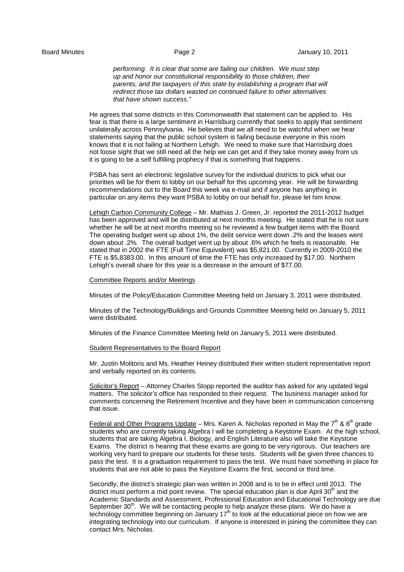performing. It is clear that some are failing our children. We must step up and honor our constitutional responsibility to those children, their parents, and the taxpayers of this state by establishing a program that will redirect those tax dollars wasted on continued failure to other alternatives that have shown success."

 He agrees that some districts in this Commonwealth that statement can be applied to. His fear is that there is a large sentiment in Harrisburg currently that seeks to apply that sentiment unilaterally across Pennsylvania. He believes that we all need to be watchful when we hear statements saying that the public school system is failing because everyone in this room knows that it is not failing at Northern Lehigh. We need to make sure that Harrisburg does not loose sight that we still need all the help we can get and if they take money away from us it is going to be a self fulfilling prophecy if that is something that happens.

 PSBA has sent an electronic legislative survey for the individual districts to pick what our priorities will be for them to lobby on our behalf for this upcoming year. He will be forwarding recommendations out to the Board this week via e-mail and if anyone has anything in particular on any items they want PSBA to lobby on our behalf for, please let him know.

 Lehigh Carbon Community College – Mr. Mathias J. Green, Jr. reported the 2011-2012 budget has been approved and will be distributed at next months meeting. He stated that he is not sure whether he will be at next months meeting so he reviewed a few budget items with the Board. The operating budget went up about 1%, the debt service went down .2% and the leases went down about .2%. The overall budget went up by about .6% which he feels is reasonable. He stated that in 2002 the FTE (Full Time Equivalent) was \$5,821.00. Currently in 2009-2010 the FTE is \$5,8383.00. In this amount of time the FTE has only increased by \$17.00. Northern Lehigh's overall share for this year is a decrease in the amount of \$77.00.

## Committee Reports and/or Meetings

Minutes of the Policy/Education Committee Meeting held on January 3, 2011 were distributed.

Minutes of the Technology/Buildings and Grounds Committee Meeting held on January 5, 2011 were distributed.

Minutes of the Finance Committee Meeting held on January 5, 2011 were distributed.

## Student Representatives to the Board Report

 Mr. Justin Molitoris and Ms. Heather Heiney distributed their written student representative report and verbally reported on its contents.

 Solicitor's Report – Attorney Charles Stopp reported the auditor has asked for any updated legal matters. The solicitor's office has responded to their request. The business manager asked for comments concerning the Retirement Incentive and they have been in communication concerning that issue.

Federal and Other Programs Update – Mrs. Karen A. Nicholas reported in May the  $7<sup>th</sup>$  &  $8<sup>th</sup>$  grade students who are currently taking Algebra I will be completing a Keystone Exam. At the high school, students that are taking Algebra I, Biology, and English Literature also will take the Keystone Exams. The district is hearing that these exams are going to be very rigorous. Our teachers are working very hard to prepare our students for these tests. Students will be given three chances to pass the test. It is a graduation requirement to pass the test. We must have something in place for students that are not able to pass the Keystone Exams the first, second or third time.

 Secondly, the district's strategic plan was written in 2008 and is to be in effect until 2013. The district must perform a mid point review. The special education plan is due April 30<sup>th</sup> and the Academic Standards and Assessment, Professional Education and Educational Technology are due September  $30<sup>th</sup>$ . We will be contacting people to help analyze these plans. We do have a technology committee beginning on January  $17<sup>th</sup>$  to look at the educational piece on how we are integrating technology into our curriculum. If anyone is interested in joining the committee they can contact Mrs. Nicholas.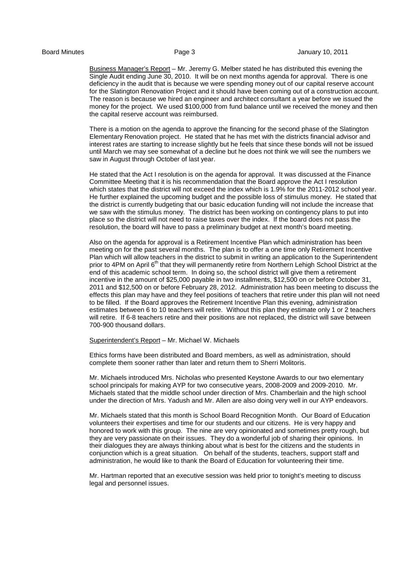Business Manager's Report – Mr. Jeremy G. Melber stated he has distributed this evening the Single Audit ending June 30, 2010. It will be on next months agenda for approval. There is one deficiency in the audit that is because we were spending money out of our capital reserve account for the Slatington Renovation Project and it should have been coming out of a construction account. The reason is because we hired an engineer and architect consultant a year before we issued the money for the project. We used \$100,000 from fund balance until we received the money and then the capital reserve account was reimbursed.

There is a motion on the agenda to approve the financing for the second phase of the Slatington Elementary Renovation project. He stated that he has met with the districts financial advisor and interest rates are starting to increase slightly but he feels that since these bonds will not be issued until March we may see somewhat of a decline but he does not think we will see the numbers we saw in August through October of last year.

He stated that the Act I resolution is on the agenda for approval. It was discussed at the Finance Committee Meeting that it is his recommendation that the Board approve the Act I resolution which states that the district will not exceed the index which is 1.9% for the 2011-2012 school year. He further explained the upcoming budget and the possible loss of stimulus money. He stated that the district is currently budgeting that our basic education funding will not include the increase that we saw with the stimulus money. The district has been working on contingency plans to put into place so the district will not need to raise taxes over the index. If the board does not pass the resolution, the board will have to pass a preliminary budget at next month's board meeting.

Also on the agenda for approval is a Retirement Incentive Plan which administration has been meeting on for the past several months. The plan is to offer a one time only Retirement Incentive Plan which will allow teachers in the district to submit in writing an application to the Superintendent prior to 4PM on April 6<sup>th</sup> that they will permanently retire from Northern Lehigh School District at the end of this academic school term. In doing so, the school district will give them a retirement incentive in the amount of \$25,000 payable in two installments, \$12,500 on or before October 31, 2011 and \$12,500 on or before February 28, 2012. Administration has been meeting to discuss the effects this plan may have and they feel positions of teachers that retire under this plan will not need to be filled. If the Board approves the Retirement Incentive Plan this evening, administration estimates between 6 to 10 teachers will retire. Without this plan they estimate only 1 or 2 teachers will retire. If 6-8 teachers retire and their positions are not replaced, the district will save between 700-900 thousand dollars.

Superintendent's Report – Mr. Michael W. Michaels

Ethics forms have been distributed and Board members, as well as administration, should complete them sooner rather than later and return them to Sherri Molitoris.

Mr. Michaels introduced Mrs. Nicholas who presented Keystone Awards to our two elementary school principals for making AYP for two consecutive years, 2008-2009 and 2009-2010. Mr. Michaels stated that the middle school under direction of Mrs. Chamberlain and the high school under the direction of Mrs. Yadush and Mr. Allen are also doing very well in our AYP endeavors.

Mr. Michaels stated that this month is School Board Recognition Month. Our Board of Education volunteers their expertises and time for our students and our citizens. He is very happy and honored to work with this group. The nine are very opinionated and sometimes pretty rough, but they are very passionate on their issues. They do a wonderful job of sharing their opinions. In their dialogues they are always thinking about what is best for the citizens and the students in conjunction which is a great situation. On behalf of the students, teachers, support staff and administration, he would like to thank the Board of Education for volunteering their time.

Mr. Hartman reported that an executive session was held prior to tonight's meeting to discuss legal and personnel issues.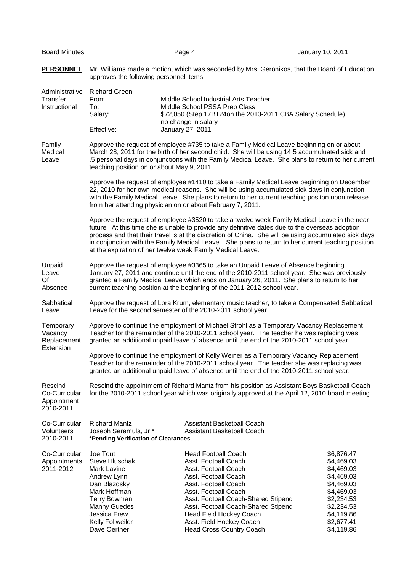| <b>Board Minutes</b>                                 | Page 4                                                                                                                                                                                                                                                                                                                                                                                                                                                                                                                                                                                                                                                                                                                                                                                                                                      |                                                                                                                                                                                                           |                                                                                                               | January 10, 2011                                                                                                                                       |  |
|------------------------------------------------------|---------------------------------------------------------------------------------------------------------------------------------------------------------------------------------------------------------------------------------------------------------------------------------------------------------------------------------------------------------------------------------------------------------------------------------------------------------------------------------------------------------------------------------------------------------------------------------------------------------------------------------------------------------------------------------------------------------------------------------------------------------------------------------------------------------------------------------------------|-----------------------------------------------------------------------------------------------------------------------------------------------------------------------------------------------------------|---------------------------------------------------------------------------------------------------------------|--------------------------------------------------------------------------------------------------------------------------------------------------------|--|
| <b>PERSONNEL</b>                                     | Mr. Williams made a motion, which was seconded by Mrs. Geronikos, that the Board of Education<br>approves the following personnel items:                                                                                                                                                                                                                                                                                                                                                                                                                                                                                                                                                                                                                                                                                                    |                                                                                                                                                                                                           |                                                                                                               |                                                                                                                                                        |  |
| Administrative<br>Transfer<br>Instructional          | <b>Richard Green</b><br>From:<br>To:<br>Salary:<br>Effective:                                                                                                                                                                                                                                                                                                                                                                                                                                                                                                                                                                                                                                                                                                                                                                               | Middle School Industrial Arts Teacher<br>Middle School PSSA Prep Class<br>no change in salary<br>January 27, 2011                                                                                         | \$72,050 (Step 17B+24on the 2010-2011 CBA Salary Schedule)                                                    |                                                                                                                                                        |  |
| Family<br>Medical<br>Leave                           | Approve the request of employee #735 to take a Family Medical Leave beginning on or about<br>March 28, 2011 for the birth of her second child. She will be using 14.5 accumuluated sick and<br>.5 personal days in conjunctions with the Family Medical Leave. She plans to return to her current<br>teaching position on or about May 9, 2011.                                                                                                                                                                                                                                                                                                                                                                                                                                                                                             |                                                                                                                                                                                                           |                                                                                                               |                                                                                                                                                        |  |
|                                                      | Approve the request of employee #1410 to take a Family Medical Leave beginning on December<br>22, 2010 for her own medical reasons. She will be using accumulated sick days in conjunction<br>with the Family Medical Leave. She plans to return to her current teaching positon upon release<br>from her attending physician on or about February 7, 2011.<br>Approve the request of employee #3520 to take a twelve week Family Medical Leave in the near<br>future. At this time she is unable to provide any definitive dates due to the overseas adoption<br>process and that their travel is at the discretion of China. She will be using accumulated sick days<br>in conjunction with the Family Medical Leavel. She plans to return to her current teaching position<br>at the expiration of her twelve week Family Medical Leave. |                                                                                                                                                                                                           |                                                                                                               |                                                                                                                                                        |  |
|                                                      |                                                                                                                                                                                                                                                                                                                                                                                                                                                                                                                                                                                                                                                                                                                                                                                                                                             |                                                                                                                                                                                                           |                                                                                                               |                                                                                                                                                        |  |
| Unpaid<br>Leave<br>Of<br>Absence                     | Approve the request of employee #3365 to take an Unpaid Leave of Absence beginning<br>January 27, 2011 and continue until the end of the 2010-2011 school year. She was previously<br>granted a Family Medical Leave which ends on January 26, 2011. She plans to return to her<br>current teaching position at the beginning of the 2011-2012 school year.                                                                                                                                                                                                                                                                                                                                                                                                                                                                                 |                                                                                                                                                                                                           |                                                                                                               |                                                                                                                                                        |  |
| Sabbatical<br>Leave                                  | Approve the request of Lora Krum, elementary music teacher, to take a Compensated Sabbatical<br>Leave for the second semester of the 2010-2011 school year.                                                                                                                                                                                                                                                                                                                                                                                                                                                                                                                                                                                                                                                                                 |                                                                                                                                                                                                           |                                                                                                               |                                                                                                                                                        |  |
| Temporary<br>Vacancy<br>Replacement<br>Extension     | Approve to continue the employment of Michael Strohl as a Temporary Vacancy Replacement<br>Teacher for the remainder of the 2010-2011 school year. The teacher he was replacing was<br>granted an additional unpaid leave of absence until the end of the 2010-2011 school year.                                                                                                                                                                                                                                                                                                                                                                                                                                                                                                                                                            |                                                                                                                                                                                                           |                                                                                                               |                                                                                                                                                        |  |
|                                                      | Approve to continue the employment of Kelly Weiner as a Temporary Vacancy Replacement<br>Teacher for the remainder of the 2010-2011 school year. The teacher she was replacing was<br>granted an additional unpaid leave of absence until the end of the 2010-2011 school year.                                                                                                                                                                                                                                                                                                                                                                                                                                                                                                                                                             |                                                                                                                                                                                                           |                                                                                                               |                                                                                                                                                        |  |
| Rescind<br>Co-Curricular<br>Appointment<br>2010-2011 | Rescind the appointment of Richard Mantz from his position as Assistant Boys Basketball Coach<br>for the 2010-2011 school year which was originally approved at the April 12, 2010 board meeting.                                                                                                                                                                                                                                                                                                                                                                                                                                                                                                                                                                                                                                           |                                                                                                                                                                                                           |                                                                                                               |                                                                                                                                                        |  |
| Co-Curricular<br>Volunteers<br>2010-2011             | <b>Richard Mantz</b><br>Joseph Seremula, Jr.*<br>*Pending Verification of Clearances                                                                                                                                                                                                                                                                                                                                                                                                                                                                                                                                                                                                                                                                                                                                                        |                                                                                                                                                                                                           | <b>Assistant Basketball Coach</b><br>Assistant Basketball Coach                                               |                                                                                                                                                        |  |
| Co-Curricular<br>Appointments<br>2011-2012           | Joe Tout<br>Steve Hluschak<br>Mark Lavine<br>Andrew Lynn<br>Dan Blazosky<br>Mark Hoffman<br><b>Terry Bowman</b><br>Manny Guedes<br><b>Jessica Frew</b><br>Kelly Follweiler<br>Dave Oertner                                                                                                                                                                                                                                                                                                                                                                                                                                                                                                                                                                                                                                                  | <b>Head Football Coach</b><br>Asst. Football Coach<br>Asst. Football Coach<br>Asst. Football Coach<br>Asst. Football Coach<br>Asst. Football Coach<br>Head Field Hockey Coach<br>Asst. Field Hockey Coach | Asst. Football Coach-Shared Stipend<br>Asst. Football Coach-Shared Stipend<br><b>Head Cross Country Coach</b> | \$6,876.47<br>\$4,469.03<br>\$4,469.03<br>\$4,469.03<br>\$4,469.03<br>\$4,469.03<br>\$2,234.53<br>\$2,234.53<br>\$4,119.86<br>\$2,677.41<br>\$4,119.86 |  |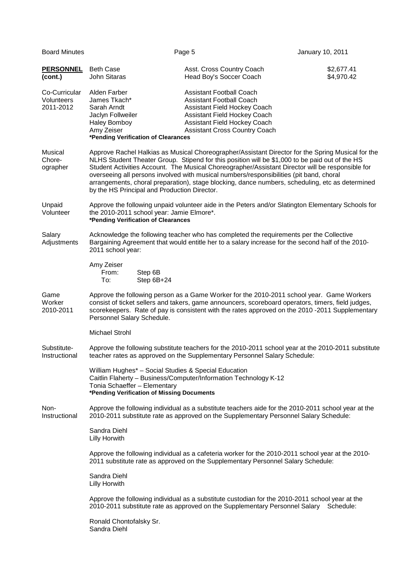| <b>Board Minutes</b>                                                                                                                                                                                                                       |                                                                                                                                                                                                                                                                                                                                                                                                                                                                                                                                                       | Page 5                                                                                                                                                                                                                                                                                             | January 10, 2011         |  |  |
|--------------------------------------------------------------------------------------------------------------------------------------------------------------------------------------------------------------------------------------------|-------------------------------------------------------------------------------------------------------------------------------------------------------------------------------------------------------------------------------------------------------------------------------------------------------------------------------------------------------------------------------------------------------------------------------------------------------------------------------------------------------------------------------------------------------|----------------------------------------------------------------------------------------------------------------------------------------------------------------------------------------------------------------------------------------------------------------------------------------------------|--------------------------|--|--|
| <b>PERSONNEL</b><br>(cont.)                                                                                                                                                                                                                | <b>Beth Case</b><br>John Sitaras                                                                                                                                                                                                                                                                                                                                                                                                                                                                                                                      | Asst. Cross Country Coach<br>Head Boy's Soccer Coach                                                                                                                                                                                                                                               | \$2,677.41<br>\$4,970.42 |  |  |
| Co-Curricular<br>Volunteers<br>2011-2012                                                                                                                                                                                                   | Alden Farber<br>James Tkach*<br>Sarah Arndt<br>Jaclyn Follweiler<br><b>Haley Bomboy</b><br>Amy Zeiser<br>*Pending Verification of Clearances                                                                                                                                                                                                                                                                                                                                                                                                          | <b>Assistant Football Coach</b><br><b>Assistant Football Coach</b><br>Assistant Field Hockey Coach<br>Assistant Field Hockey Coach<br>Assistant Field Hockey Coach<br><b>Assistant Cross Country Coach</b>                                                                                         |                          |  |  |
| Musical<br>Chore-<br>ographer                                                                                                                                                                                                              | Approve Rachel Halkias as Musical Choreographer/Assistant Director for the Spring Musical for the<br>NLHS Student Theater Group. Stipend for this position will be \$1,000 to be paid out of the HS<br>Student Activities Account. The Musical Choreographer/Assistant Director will be responsible for<br>overseeing all persons involved with musical numbers/responsibilities (pit band, choral<br>arrangements, choral preparation), stage blocking, dance numbers, scheduling, etc as determined<br>by the HS Principal and Production Director. |                                                                                                                                                                                                                                                                                                    |                          |  |  |
| Unpaid<br>Volunteer                                                                                                                                                                                                                        | Approve the following unpaid volunteer aide in the Peters and/or Slatington Elementary Schools for<br>the 2010-2011 school year: Jamie Elmore*.<br>*Pending Verification of Clearances                                                                                                                                                                                                                                                                                                                                                                |                                                                                                                                                                                                                                                                                                    |                          |  |  |
| Salary<br>Acknowledge the following teacher who has completed the requirements per the Collective<br>Bargaining Agreement that would entitle her to a salary increase for the second half of the 2010-<br>Adjustments<br>2011 school year: |                                                                                                                                                                                                                                                                                                                                                                                                                                                                                                                                                       |                                                                                                                                                                                                                                                                                                    |                          |  |  |
|                                                                                                                                                                                                                                            | Amy Zeiser<br>From:<br>Step 6B<br>To:<br>Step 6B+24                                                                                                                                                                                                                                                                                                                                                                                                                                                                                                   |                                                                                                                                                                                                                                                                                                    |                          |  |  |
| Game<br>Worker<br>2010-2011                                                                                                                                                                                                                | Personnel Salary Schedule.                                                                                                                                                                                                                                                                                                                                                                                                                                                                                                                            | Approve the following person as a Game Worker for the 2010-2011 school year. Game Workers<br>consist of ticket sellers and takers, game announcers, scoreboard operators, timers, field judges,<br>scorekeepers. Rate of pay is consistent with the rates approved on the 2010 -2011 Supplementary |                          |  |  |
|                                                                                                                                                                                                                                            | Michael Strohl                                                                                                                                                                                                                                                                                                                                                                                                                                                                                                                                        |                                                                                                                                                                                                                                                                                                    |                          |  |  |
| Substitute-<br>Instructional                                                                                                                                                                                                               | Approve the following substitute teachers for the 2010-2011 school year at the 2010-2011 substitute<br>teacher rates as approved on the Supplementary Personnel Salary Schedule:                                                                                                                                                                                                                                                                                                                                                                      |                                                                                                                                                                                                                                                                                                    |                          |  |  |
|                                                                                                                                                                                                                                            | William Hughes* - Social Studies & Special Education<br>Tonia Schaeffer - Elementary<br>*Pending Verification of Missing Documents                                                                                                                                                                                                                                                                                                                                                                                                                    | Caitlin Flaherty - Business/Computer/Information Technology K-12                                                                                                                                                                                                                                   |                          |  |  |
| Non-<br>Instructional                                                                                                                                                                                                                      | Approve the following individual as a substitute teachers aide for the 2010-2011 school year at the<br>2010-2011 substitute rate as approved on the Supplementary Personnel Salary Schedule:                                                                                                                                                                                                                                                                                                                                                          |                                                                                                                                                                                                                                                                                                    |                          |  |  |
|                                                                                                                                                                                                                                            | Sandra Diehl<br><b>Lilly Horwith</b>                                                                                                                                                                                                                                                                                                                                                                                                                                                                                                                  |                                                                                                                                                                                                                                                                                                    |                          |  |  |
|                                                                                                                                                                                                                                            | Approve the following individual as a cafeteria worker for the 2010-2011 school year at the 2010-<br>2011 substitute rate as approved on the Supplementary Personnel Salary Schedule:                                                                                                                                                                                                                                                                                                                                                                 |                                                                                                                                                                                                                                                                                                    |                          |  |  |
|                                                                                                                                                                                                                                            | Sandra Diehl<br><b>Lilly Horwith</b>                                                                                                                                                                                                                                                                                                                                                                                                                                                                                                                  |                                                                                                                                                                                                                                                                                                    |                          |  |  |
|                                                                                                                                                                                                                                            | Approve the following individual as a substitute custodian for the 2010-2011 school year at the<br>2010-2011 substitute rate as approved on the Supplementary Personnel Salary Schedule:                                                                                                                                                                                                                                                                                                                                                              |                                                                                                                                                                                                                                                                                                    |                          |  |  |
|                                                                                                                                                                                                                                            | Ronald Chontofalsky Sr.<br>Sandra Diehl                                                                                                                                                                                                                                                                                                                                                                                                                                                                                                               |                                                                                                                                                                                                                                                                                                    |                          |  |  |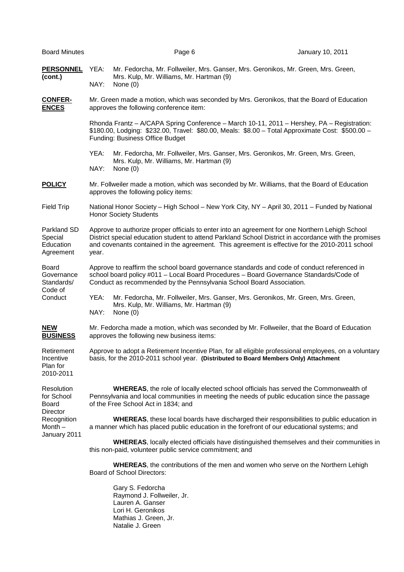| <b>Board Minutes</b>                                                                      |                                                                                                                                                                                                                                                                                                                     | Page 6                                                                                                                                                         | January 10, 2011                                                                                                                                                                             |  |  |
|-------------------------------------------------------------------------------------------|---------------------------------------------------------------------------------------------------------------------------------------------------------------------------------------------------------------------------------------------------------------------------------------------------------------------|----------------------------------------------------------------------------------------------------------------------------------------------------------------|----------------------------------------------------------------------------------------------------------------------------------------------------------------------------------------------|--|--|
| <b>PERSONNEL</b><br>(cont.)                                                               | YEA:<br>NAY:                                                                                                                                                                                                                                                                                                        | Mrs. Kulp, Mr. Williams, Mr. Hartman (9)<br>None $(0)$                                                                                                         | Mr. Fedorcha, Mr. Follweiler, Mrs. Ganser, Mrs. Geronikos, Mr. Green, Mrs. Green,                                                                                                            |  |  |
| <b>CONFER-</b><br><b>ENCES</b>                                                            | Mr. Green made a motion, which was seconded by Mrs. Geronikos, that the Board of Education<br>approves the following conference item:                                                                                                                                                                               |                                                                                                                                                                |                                                                                                                                                                                              |  |  |
|                                                                                           | Rhonda Frantz - A/CAPA Spring Conference - March 10-11, 2011 - Hershey, PA - Registration:<br>\$180.00, Lodging: \$232.00, Travel: \$80.00, Meals: \$8.00 - Total Approximate Cost: \$500.00 -<br>Funding: Business Office Budget                                                                                   |                                                                                                                                                                |                                                                                                                                                                                              |  |  |
|                                                                                           | YEA:<br>NAY:                                                                                                                                                                                                                                                                                                        | Mr. Fedorcha, Mr. Follweiler, Mrs. Ganser, Mrs. Geronikos, Mr. Green, Mrs. Green,<br>Mrs. Kulp, Mr. Williams, Mr. Hartman (9)<br>None $(0)$                    |                                                                                                                                                                                              |  |  |
| <b>POLICY</b>                                                                             | Mr. Follweiler made a motion, which was seconded by Mr. Williams, that the Board of Education<br>approves the following policy items:                                                                                                                                                                               |                                                                                                                                                                |                                                                                                                                                                                              |  |  |
| <b>Field Trip</b>                                                                         | National Honor Society - High School - New York City, NY - April 30, 2011 - Funded by National<br><b>Honor Society Students</b>                                                                                                                                                                                     |                                                                                                                                                                |                                                                                                                                                                                              |  |  |
| Parkland SD<br>Special<br>Education<br>Agreement                                          | Approve to authorize proper officials to enter into an agreement for one Northern Lehigh School<br>District special education student to attend Parkland School District in accordance with the promises<br>and covenants contained in the agreement. This agreement is effective for the 2010-2011 school<br>year. |                                                                                                                                                                |                                                                                                                                                                                              |  |  |
| <b>Board</b><br>Governance<br>Standards/<br>Code of<br>Conduct                            |                                                                                                                                                                                                                                                                                                                     | school board policy #011 - Local Board Procedures - Board Governance Standards/Code of<br>Conduct as recommended by the Pennsylvania School Board Association. | Approve to reaffirm the school board governance standards and code of conduct referenced in                                                                                                  |  |  |
|                                                                                           | YEA:<br>NAY:                                                                                                                                                                                                                                                                                                        | Mr. Fedorcha, Mr. Follweiler, Mrs. Ganser, Mrs. Geronikos, Mr. Green, Mrs. Green,<br>Mrs. Kulp, Mr. Williams, Mr. Hartman (9)<br>None $(0)$                    |                                                                                                                                                                                              |  |  |
| <b>NEW</b><br><b>BUSINESS</b>                                                             | Mr. Fedorcha made a motion, which was seconded by Mr. Follweiler, that the Board of Education<br>approves the following new business items:                                                                                                                                                                         |                                                                                                                                                                |                                                                                                                                                                                              |  |  |
| Retirement<br>Incentive<br>Plan for<br>2010-2011                                          | Approve to adopt a Retirement Incentive Plan, for all eligible professional employees, on a voluntary<br>basis, for the 2010-2011 school year. (Distributed to Board Members Only) Attachment                                                                                                                       |                                                                                                                                                                |                                                                                                                                                                                              |  |  |
| Resolution<br>for School<br>Board<br>Director<br>Recognition<br>Month $-$<br>January 2011 |                                                                                                                                                                                                                                                                                                                     | of the Free School Act in 1834; and                                                                                                                            | <b>WHEREAS, the role of locally elected school officials has served the Commonwealth of</b><br>Pennsylvania and local communities in meeting the needs of public education since the passage |  |  |
|                                                                                           |                                                                                                                                                                                                                                                                                                                     | a manner which has placed public education in the forefront of our educational systems; and                                                                    | <b>WHEREAS</b> , these local boards have discharged their responsibilities to public education in                                                                                            |  |  |
|                                                                                           | <b>WHEREAS, locally elected officials have distinguished themselves and their communities in</b><br>this non-paid, volunteer public service commitment; and                                                                                                                                                         |                                                                                                                                                                |                                                                                                                                                                                              |  |  |
|                                                                                           |                                                                                                                                                                                                                                                                                                                     | <b>Board of School Directors:</b>                                                                                                                              | <b>WHEREAS</b> , the contributions of the men and women who serve on the Northern Lehigh                                                                                                     |  |  |
|                                                                                           |                                                                                                                                                                                                                                                                                                                     | Gary S. Fedorcha<br>Raymond J. Follweiler, Jr.<br>Lauren A. Ganser<br>Lori H. Geronikos                                                                        |                                                                                                                                                                                              |  |  |

 Mathias J. Green, Jr. Natalie J. Green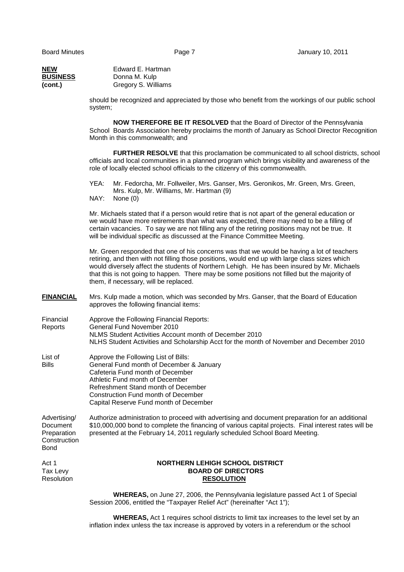|                                                                        | <b>WHEREAS</b> , on June 27, 2006, the Pennsylvania legislature passed Act 1 of Special<br>Session 2006, entitled the "Taxpayer Relief Act" (hereinafter "Act 1");                                                                                                                                                                                                                                                                   |
|------------------------------------------------------------------------|--------------------------------------------------------------------------------------------------------------------------------------------------------------------------------------------------------------------------------------------------------------------------------------------------------------------------------------------------------------------------------------------------------------------------------------|
| Act 1<br>Tax Levy<br>Resolution                                        | <b>NORTHERN LEHIGH SCHOOL DISTRICT</b><br><b>BOARD OF DIRECTORS</b><br><b>RESOLUTION</b>                                                                                                                                                                                                                                                                                                                                             |
| Advertising/<br>Document<br>Preparation<br>Construction<br><b>Bond</b> | Authorize administration to proceed with advertising and document preparation for an additional<br>\$10,000,000 bond to complete the financing of various capital projects. Final interest rates will be<br>presented at the February 14, 2011 regularly scheduled School Board Meeting.                                                                                                                                             |
| List of<br>Bills                                                       | Approve the Following List of Bills:<br>General Fund month of December & January<br>Cafeteria Fund month of December<br>Athletic Fund month of December<br>Refreshment Stand month of December<br>Construction Fund month of December<br>Capital Reserve Fund month of December                                                                                                                                                      |
| Financial<br>Reports                                                   | Approve the Following Financial Reports:<br>General Fund November 2010<br>NLMS Student Activities Account month of December 2010<br>NLHS Student Activities and Scholarship Acct for the month of November and December 2010                                                                                                                                                                                                         |
| <b>FINANCIAL</b>                                                       | Mrs. Kulp made a motion, which was seconded by Mrs. Ganser, that the Board of Education<br>approves the following financial items:                                                                                                                                                                                                                                                                                                   |
|                                                                        | Mr. Green responded that one of his concerns was that we would be having a lot of teachers<br>retiring, and then with not filling those positions, would end up with large class sizes which<br>would diversely affect the students of Northern Lehigh. He has been insured by Mr. Michaels<br>that this is not going to happen. There may be some positions not filled but the majority of<br>them, if necessary, will be replaced. |
|                                                                        | Mr. Michaels stated that if a person would retire that is not apart of the general education or<br>we would have more retirements than what was expected, there may need to be a filling of<br>certain vacancies. To say we are not filling any of the retiring positions may not be true. It<br>will be individual specific as discussed at the Finance Committee Meeting.                                                          |
|                                                                        | Mr. Fedorcha, Mr. Follweiler, Mrs. Ganser, Mrs. Geronikos, Mr. Green, Mrs. Green,<br>YEA:<br>Mrs. Kulp, Mr. Williams, Mr. Hartman (9)<br>NAY:<br>None $(0)$                                                                                                                                                                                                                                                                          |
|                                                                        | <b>FURTHER RESOLVE</b> that this proclamation be communicated to all school districts, school<br>officials and local communities in a planned program which brings visibility and awareness of the<br>role of locally elected school officials to the citizenry of this commonwealth.                                                                                                                                                |
|                                                                        | <b>NOW THEREFORE BE IT RESOLVED</b> that the Board of Director of the Pennsylvania<br>School Boards Association hereby proclaims the month of January as School Director Recognition<br>Month in this commonwealth; and                                                                                                                                                                                                              |
|                                                                        | should be recognized and appreciated by those who benefit from the workings of our public school<br>system;                                                                                                                                                                                                                                                                                                                          |
| NEW<br><b>BUSINESS</b><br>(cont.)                                      | Edward E. Hartman<br>Donna M. Kulp<br>Gregory S. Williams                                                                                                                                                                                                                                                                                                                                                                            |

 **WHEREAS,** Act 1 requires school districts to limit tax increases to the level set by an inflation index unless the tax increase is approved by voters in a referendum or the school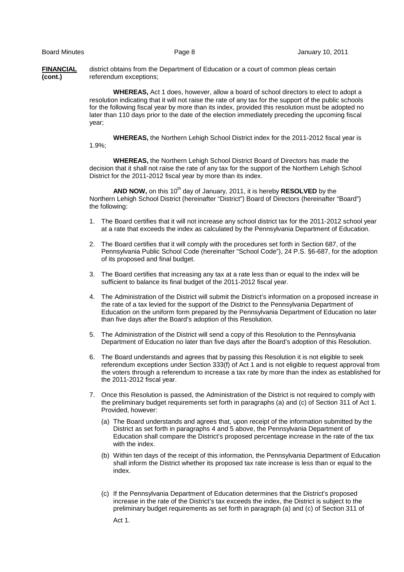**FINANCIAL** district obtains from the Department of Education or a court of common pleas certain **(cont.)** referendum exceptions;

> **WHEREAS,** Act 1 does, however, allow a board of school directors to elect to adopt a resolution indicating that it will not raise the rate of any tax for the support of the public schools for the following fiscal year by more than its index, provided this resolution must be adopted no later than 110 days prior to the date of the election immediately preceding the upcoming fiscal year;

 **WHEREAS,** the Northern Lehigh School District index for the 2011-2012 fiscal year is 1.9%;

 **WHEREAS,** the Northern Lehigh School District Board of Directors has made the decision that it shall not raise the rate of any tax for the support of the Northern Lehigh School District for the 2011-2012 fiscal year by more than its index.

**AND NOW,** on this 10<sup>th</sup> day of January, 2011, it is hereby **RESOLVED** by the Northern Lehigh School District (hereinafter "District") Board of Directors (hereinafter "Board") the following:

- 1. The Board certifies that it will not increase any school district tax for the 2011-2012 school year at a rate that exceeds the index as calculated by the Pennsylvania Department of Education.
- 2. The Board certifies that it will comply with the procedures set forth in Section 687, of the Pennsylvania Public School Code (hereinafter "School Code"), 24 P.S. §6-687, for the adoption of its proposed and final budget.
- 3. The Board certifies that increasing any tax at a rate less than or equal to the index will be sufficient to balance its final budget of the 2011-2012 fiscal year.
- 4. The Administration of the District will submit the District's information on a proposed increase in the rate of a tax levied for the support of the District to the Pennsylvania Department of Education on the uniform form prepared by the Pennsylvania Department of Education no later than five days after the Board's adoption of this Resolution.
- 5. The Administration of the District will send a copy of this Resolution to the Pennsylvania Department of Education no later than five days after the Board's adoption of this Resolution.
- 6. The Board understands and agrees that by passing this Resolution it is not eligible to seek referendum exceptions under Section 333(f) of Act 1 and is not eligible to request approval from the voters through a referendum to increase a tax rate by more than the index as established for the 2011-2012 fiscal year.
- 7. Once this Resolution is passed, the Administration of the District is not required to comply with the preliminary budget requirements set forth in paragraphs (a) and (c) of Section 311 of Act 1. Provided, however:
	- (a) The Board understands and agrees that, upon receipt of the information submitted by the District as set forth in paragraphs 4 and 5 above, the Pennsylvania Department of Education shall compare the District's proposed percentage increase in the rate of the tax with the index.
	- (b) Within ten days of the receipt of this information, the Pennsylvania Department of Education shall inform the District whether its proposed tax rate increase is less than or equal to the index.
	- (c) If the Pennsylvania Department of Education determines that the District's proposed increase in the rate of the District's tax exceeds the index, the District is subject to the preliminary budget requirements as set forth in paragraph (a) and (c) of Section 311 of

Act 1.